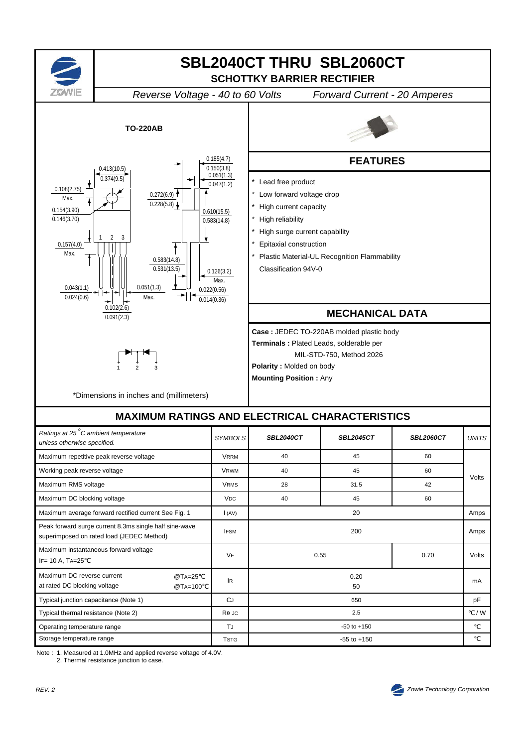

Note : 1. Measured at 1.0MHz and applied reverse voltage of 4.0V.

2. Thermal resistance junction to case.